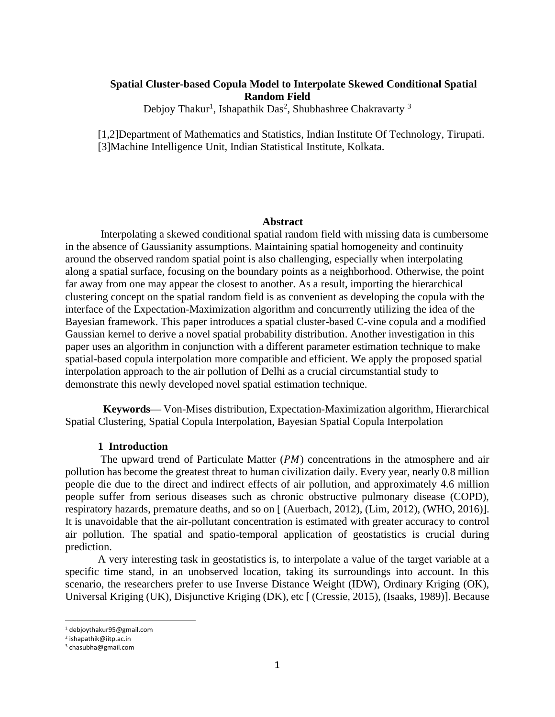# **Spatial Cluster-based Copula Model to Interpolate Skewed Conditional Spatial Random Field**

Debjoy Thakur<sup>1</sup>, Ishapathik Das<sup>2</sup>, Shubhashree Chakravarty<sup>3</sup>

[1,2]Department of Mathematics and Statistics, Indian Institute Of Technology, Tirupati. [3]Machine Intelligence Unit, Indian Statistical Institute, Kolkata.

#### **Abstract**

Interpolating a skewed conditional spatial random field with missing data is cumbersome in the absence of Gaussianity assumptions. Maintaining spatial homogeneity and continuity around the observed random spatial point is also challenging, especially when interpolating along a spatial surface, focusing on the boundary points as a neighborhood. Otherwise, the point far away from one may appear the closest to another. As a result, importing the hierarchical clustering concept on the spatial random field is as convenient as developing the copula with the interface of the Expectation-Maximization algorithm and concurrently utilizing the idea of the Bayesian framework. This paper introduces a spatial cluster-based C-vine copula and a modified Gaussian kernel to derive a novel spatial probability distribution. Another investigation in this paper uses an algorithm in conjunction with a different parameter estimation technique to make spatial-based copula interpolation more compatible and efficient. We apply the proposed spatial interpolation approach to the air pollution of Delhi as a crucial circumstantial study to demonstrate this newly developed novel spatial estimation technique.

 **Keywords—** Von-Mises distribution, Expectation-Maximization algorithm, Hierarchical Spatial Clustering, Spatial Copula Interpolation, Bayesian Spatial Copula Interpolation

# **1 Introduction**

The upward trend of Particulate Matter  $(PM)$  concentrations in the atmosphere and air pollution has become the greatest threat to human civilization daily. Every year, nearly 0.8 million people die due to the direct and indirect effects of air pollution, and approximately 4.6 million people suffer from serious diseases such as chronic obstructive pulmonary disease (COPD), respiratory hazards, premature deaths, and so on [ (Auerbach, 2012), (Lim, 2012), (WHO, 2016)]. It is unavoidable that the air-pollutant concentration is estimated with greater accuracy to control air pollution. The spatial and spatio-temporal application of geostatistics is crucial during prediction.

A very interesting task in geostatistics is, to interpolate a value of the target variable at a specific time stand, in an unobserved location, taking its surroundings into account. In this scenario, the researchers prefer to use Inverse Distance Weight (IDW), Ordinary Kriging (OK), Universal Kriging (UK), Disjunctive Kriging (DK), etc [ (Cressie, 2015), (Isaaks, 1989)]. Because

<sup>1</sup> debjoythakur95@gmail.com

<sup>2</sup> ishapathik@iitp.ac.in

<sup>3</sup> chasubha@gmail.com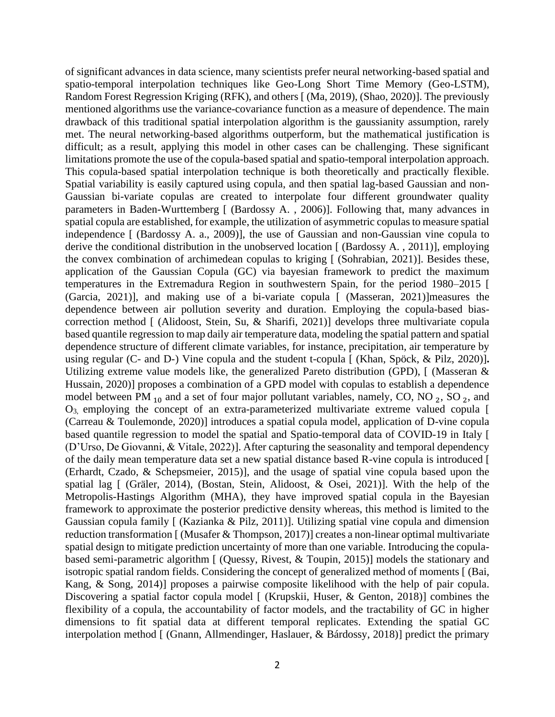of significant advances in data science, many scientists prefer neural networking-based spatial and spatio-temporal interpolation techniques like Geo-Long Short Time Memory (Geo-LSTM), Random Forest Regression Kriging (RFK), and others [ (Ma, 2019), (Shao, 2020)]. The previously mentioned algorithms use the variance-covariance function as a measure of dependence. The main drawback of this traditional spatial interpolation algorithm is the gaussianity assumption, rarely met. The neural networking-based algorithms outperform, but the mathematical justification is difficult; as a result, applying this model in other cases can be challenging. These significant limitations promote the use of the copula-based spatial and spatio-temporal interpolation approach. This copula-based spatial interpolation technique is both theoretically and practically flexible. Spatial variability is easily captured using copula, and then spatial lag-based Gaussian and non-Gaussian bi-variate copulas are created to interpolate four different groundwater quality parameters in Baden-Wurttemberg [ (Bardossy A. , 2006)]. Following that, many advances in spatial copula are established, for example, the utilization of asymmetric copulas to measure spatial independence [ (Bardossy A. a., 2009)], the use of Gaussian and non-Gaussian vine copula to derive the conditional distribution in the unobserved location [ (Bardossy A. , 2011)], employing the convex combination of archimedean copulas to kriging [ (Sohrabian, 2021)]. Besides these, application of the Gaussian Copula (GC) via bayesian framework to predict the maximum temperatures in the Extremadura Region in southwestern Spain, for the period 1980–2015 [ (Garcia, 2021)], and making use of a bi-variate copula [ (Masseran, 2021)]measures the dependence between air pollution severity and duration. Employing the copula-based biascorrection method [ (Alidoost, Stein, Su, & Sharifi, 2021)] develops three multivariate copula based quantile regression to map daily air temperature data, modeling the spatial pattern and spatial dependence structure of different climate variables, for instance, precipitation, air temperature by using regular (C- and D-) Vine copula and the student t-copula [ (Khan, Spöck, & Pilz, 2020)]**.** Utilizing extreme value models like, the generalized Pareto distribution (GPD), [ (Masseran & Hussain, 2020)] proposes a combination of a GPD model with copulas to establish a dependence model between PM  $_{10}$  and a set of four major pollutant variables, namely, CO, NO  $_2$ , SO  $_2$ , and O3, employing the concept of an extra-parameterized multivariate extreme valued copula [ (Carreau & Toulemonde, 2020)] introduces a spatial copula model, application of D-vine copula based quantile regression to model the spatial and Spatio-temporal data of COVID-19 in Italy [ (D'Urso, De Giovanni, & Vitale, 2022)]. After capturing the seasonality and temporal dependency of the daily mean temperature data set a new spatial distance based R-vine copula is introduced [ (Erhardt, Czado, & Schepsmeier, 2015)], and the usage of spatial vine copula based upon the spatial lag [ (Gräler, 2014), (Bostan, Stein, Alidoost, & Osei, 2021)]. With the help of the Metropolis-Hastings Algorithm (MHA), they have improved spatial copula in the Bayesian framework to approximate the posterior predictive density whereas, this method is limited to the Gaussian copula family [ (Kazianka & Pilz, 2011)]. Utilizing spatial vine copula and dimension reduction transformation [ (Musafer & Thompson, 2017)] creates a non-linear optimal multivariate spatial design to mitigate prediction uncertainty of more than one variable. Introducing the copulabased semi-parametric algorithm [ (Quessy, Rivest, & Toupin, 2015)] models the stationary and isotropic spatial random fields. Considering the concept of generalized method of moments [ (Bai, Kang, & Song, 2014)] proposes a pairwise composite likelihood with the help of pair copula. Discovering a spatial factor copula model [ (Krupskii, Huser, & Genton, 2018)] combines the flexibility of a copula, the accountability of factor models, and the tractability of GC in higher dimensions to fit spatial data at different temporal replicates. Extending the spatial GC interpolation method [ (Gnann, Allmendinger, Haslauer, & Bárdossy, 2018)] predict the primary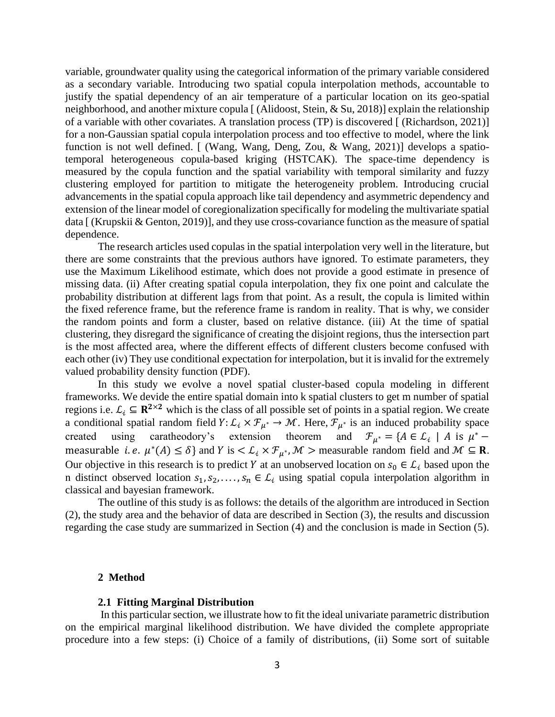variable, groundwater quality using the categorical information of the primary variable considered as a secondary variable. Introducing two spatial copula interpolation methods, accountable to justify the spatial dependency of an air temperature of a particular location on its geo-spatial neighborhood, and another mixture copula [ (Alidoost, Stein, & Su, 2018)] explain the relationship of a variable with other covariates. A translation process (TP) is discovered [ (Richardson, 2021)] for a non-Gaussian spatial copula interpolation process and too effective to model, where the link function is not well defined. [ (Wang, Wang, Deng, Zou, & Wang, 2021)] develops a spatiotemporal heterogeneous copula-based kriging (HSTCAK). The space-time dependency is measured by the copula function and the spatial variability with temporal similarity and fuzzy clustering employed for partition to mitigate the heterogeneity problem. Introducing crucial advancements in the spatial copula approach like tail dependency and asymmetric dependency and extension of the linear model of coregionalization specifically for modeling the multivariate spatial data [ (Krupskii & Genton, 2019)], and they use cross-covariance function as the measure of spatial dependence.

The research articles used copulas in the spatial interpolation very well in the literature, but there are some constraints that the previous authors have ignored. To estimate parameters, they use the Maximum Likelihood estimate, which does not provide a good estimate in presence of missing data. (ii) After creating spatial copula interpolation, they fix one point and calculate the probability distribution at different lags from that point. As a result, the copula is limited within the fixed reference frame, but the reference frame is random in reality. That is why, we consider the random points and form a cluster, based on relative distance. (iii) At the time of spatial clustering, they disregard the significance of creating the disjoint regions, thus the intersection part is the most affected area, where the different effects of different clusters become confused with each other (iv) They use conditional expectation for interpolation, but it is invalid for the extremely valued probability density function (PDF).

In this study we evolve a novel spatial cluster-based copula modeling in different frameworks. We devide the entire spatial domain into k spatial clusters to get m number of spatial regions i.e.  $\mathcal{L}_i \subseteq \mathbb{R}^{2 \times 2}$  which is the class of all possible set of points in a spatial region. We create a conditional spatial random field  $Y: L_i \times \mathcal{F}_{\mu^*} \to \mathcal{M}$ . Here,  $\mathcal{F}_{\mu^*}$  is an induced probability space created using caratheodory's extension theorem and  $\mathcal{F}_{\mu^*} = \{A \in \mathcal{L}_i \mid A \text{ is } \mu^*$ measurable *i.e.*  $\mu^*(A) \le \delta$  and *Y* is  $\lt L_i \times \mathcal{F}_{\mu^*}$ , *M* > measurable random field and *M*  $\subseteq$  **R**. Our objective in this research is to predict Y at an unobserved location on  $s_0 \in \mathcal{L}_i$  based upon the n distinct observed location  $s_1, s_2, \ldots, s_n \in L_i$  using spatial copula interpolation algorithm in classical and bayesian framework.

The outline of this study is as follows: the details of the algorithm are introduced in Section (2), the study area and the behavior of data are described in Section (3), the results and discussion regarding the case study are summarized in Section (4) and the conclusion is made in Section (5).

#### **2 Method**

# **2.1 Fitting Marginal Distribution**

In this particular section, we illustrate how to fit the ideal univariate parametric distribution on the empirical marginal likelihood distribution. We have divided the complete appropriate procedure into a few steps: (i) Choice of a family of distributions, (ii) Some sort of suitable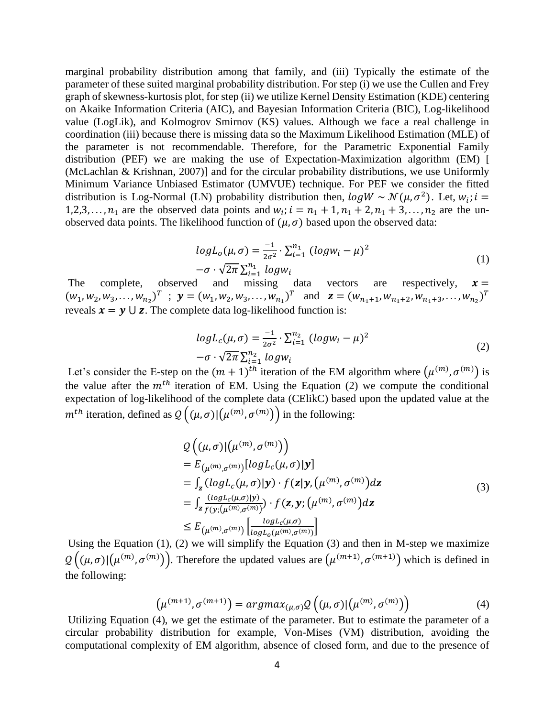marginal probability distribution among that family, and (iii) Typically the estimate of the parameter of these suited marginal probability distribution. For step (i) we use the Cullen and Frey graph of skewness-kurtosis plot, for step (ii) we utilize Kernel Density Estimation (KDE) centering on Akaike Information Criteria (AIC), and Bayesian Information Criteria (BIC), Log-likelihood value (LogLik), and Kolmogrov Smirnov (KS) values. Although we face a real challenge in coordination (iii) because there is missing data so the Maximum Likelihood Estimation (MLE) of the parameter is not recommendable. Therefore, for the Parametric Exponential Family distribution (PEF) we are making the use of Expectation-Maximization algorithm (EM) [ (McLachlan & Krishnan, 2007)] and for the circular probability distributions, we use Uniformly Minimum Variance Unbiased Estimator (UMVUE) technique. For PEF we consider the fitted distribution is Log-Normal (LN) probability distribution then,  $log W \sim \mathcal{N}(\mu, \sigma^2)$ . Let,  $w_i$ ;  $i =$ 1,2,3,...,  $n_1$  are the observed data points and  $w_i$ ;  $i = n_1 + 1, n_1 + 2, n_1 + 3, \ldots, n_2$  are the unobserved data points. The likelihood function of  $(\mu, \sigma)$  based upon the observed data:

$$
log L_o(\mu, \sigma) = \frac{-1}{2\sigma^2} \cdot \sum_{i=1}^{n_1} (log w_i - \mu)^2
$$
  
- $\sigma \cdot \sqrt{2\pi} \sum_{i=1}^{n_1} log w_i$  (1)

The complete, observed and missing data vectors are respectively,  $x =$  $(w_1, w_2, w_3, \dots, w_{n_2})^T$ ;  $\mathbf{y} = (w_1, w_2, w_3, \dots, w_{n_1})^T$  and  $\mathbf{z} = (w_{n_1+1}, w_{n_1+2}, w_{n_1+3}, \dots, w_{n_2})^T$ reveals  $x = y \cup z$ . The complete data log-likelihood function is:

$$
log L_c(\mu, \sigma) = \frac{-1}{2\sigma^2} \cdot \sum_{i=1}^{n_2} (log w_i - \mu)^2
$$
  
- $\sigma \cdot \sqrt{2\pi} \sum_{i=1}^{n_2} log w_i$  (2)

Let's consider the E-step on the  $(m + 1)^{th}$  iteration of the EM algorithm where  $(\mu^{(m)}, \sigma^{(m)})$  is the value after the  $m<sup>th</sup>$  iteration of EM. Using the Equation (2) we compute the conditional expectation of log-likelihood of the complete data (CElikC) based upon the updated value at the  $m^{th}$  iteration, defined as  $\mathcal{Q}((\mu, \sigma)|(\mu^{(m)}, \sigma^{(m)}))$  in the following:

$$
Q((\mu, \sigma)|(\mu^{(m)}, \sigma^{(m)}))
$$
  
\n
$$
= E_{(\mu^{(m)}, \sigma^{(m)})}[logL_c(\mu, \sigma)|\mathbf{y}]
$$
  
\n
$$
= \int_{\mathbf{z}} (logL_c(\mu, \sigma)|\mathbf{y}) \cdot f(\mathbf{z}|\mathbf{y}, (\mu^{(m)}, \sigma^{(m)}) d\mathbf{z}
$$
  
\n
$$
= \int_{\mathbf{z}} \frac{(logL_c(\mu, \sigma)|\mathbf{y})}{f(\mathbf{y}; (\mu^{(m)}, \sigma^{(m)})}) \cdot f(\mathbf{z}, \mathbf{y}; (\mu^{(m)}, \sigma^{(m)}) d\mathbf{z}
$$
  
\n
$$
\leq E_{(\mu^{(m)}, \sigma^{(m)})} \left[ \frac{logL_c(\mu, \sigma)}{logL_o(\mu^{(m)}, \sigma^{(m)})} \right]
$$
\n(3)

Using the Equation (1), (2) we will simplify the Equation (3) and then in M-step we maximize  $\mathcal{Q}((\mu,\sigma)|(\mu^{(m)},\sigma^{(m)}))$ . Therefore the updated values are  $(\mu^{(m+1)},\sigma^{(m+1)})$  which is defined in the following:

$$
\left(\mu^{(m+1)}, \sigma^{(m+1)}\right) = \operatorname{argmax}_{(\mu, \sigma)} \mathcal{Q}\left((\mu, \sigma) | (\mu^{(m)}, \sigma^{(m)})\right) \tag{4}
$$

Utilizing Equation (4), we get the estimate of the parameter. But to estimate the parameter of a circular probability distribution for example, Von-Mises (VM) distribution, avoiding the computational complexity of EM algorithm, absence of closed form, and due to the presence of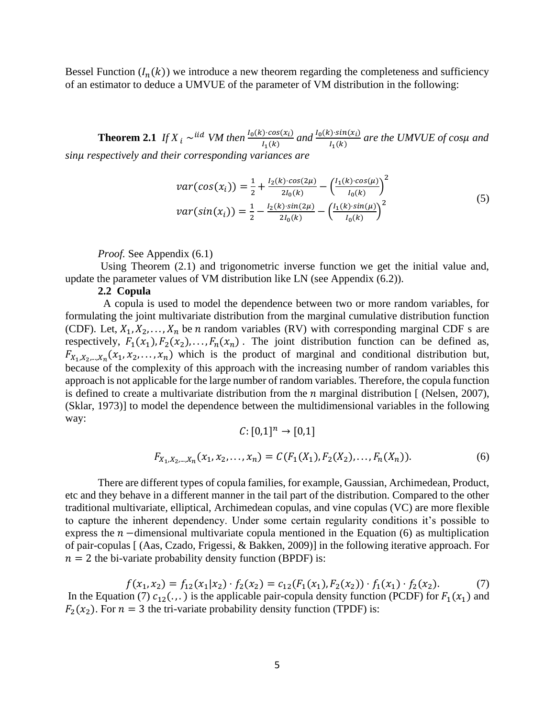Bessel Function  $(I_n(k))$  we introduce a new theorem regarding the completeness and sufficiency of an estimator to deduce a UMVUE of the parameter of VM distribution in the following:

**Theorem 2.1** *If*  $X_i \sim$ <sup>*iid VM then*  $\frac{I_0(k) \cdot cos(x_i)}{I_0(k)}$ </sup>  $\frac{I_1(k) \cdot \cos(x_i)}{I_1(k)}$  and  $\frac{I_0(k) \cdot \sin(x_i)}{I_1(k)}$  $\frac{J_1 \sin(\chi_1)}{I_1(k)}$  are the UMVUE of cosµ and *sin respectively and their corresponding variances are*

$$
var(cos(x_i)) = \frac{1}{2} + \frac{I_2(k) \cdot cos(2\mu)}{2I_0(k)} - \left(\frac{I_1(k) \cdot cos(\mu)}{I_0(k)}\right)^2
$$
  

$$
var(sin(x_i)) = \frac{1}{2} - \frac{I_2(k) \cdot sin(2\mu)}{2I_0(k)} - \left(\frac{I_1(k) \cdot sin(\mu)}{I_0(k)}\right)^2
$$
 (5)

*Proof.* See Appendix (6.1)

Using Theorem (2.1) and trigonometric inverse function we get the initial value and, update the parameter values of VM distribution like LN (see Appendix (6.2)).

### **2.2 Copula**

 A copula is used to model the dependence between two or more random variables, for formulating the joint multivariate distribution from the marginal cumulative distribution function (CDF). Let,  $X_1, X_2, \ldots, X_n$  be *n* random variables (RV) with corresponding marginal CDF s are respectively,  $F_1(x_1), F_2(x_2), \ldots, F_n(x_n)$ . The joint distribution function can be defined as,  $F_{X_1, X_2, \dots, X_n}(x_1, x_2, \dots, x_n)$  which is the product of marginal and conditional distribution but, because of the complexity of this approach with the increasing number of random variables this approach is not applicable for the large number of random variables. Therefore, the copula function is defined to create a multivariate distribution from the  $n$  marginal distribution  $\lceil$  (Nelsen, 2007), (Sklar, 1973)] to model the dependence between the multidimensional variables in the following way:

$$
C: [0,1]^n \to [0,1]
$$
  

$$
F_{X_1, X_2, \dots, X_n}(x_1, x_2, \dots, x_n) = C(F_1(X_1), F_2(X_2), \dots, F_n(X_n)).
$$
 (6)

There are different types of copula families, for example, Gaussian, Archimedean, Product, etc and they behave in a different manner in the tail part of the distribution. Compared to the other traditional multivariate, elliptical, Archimedean copulas, and vine copulas (VC) are more flexible to capture the inherent dependency. Under some certain regularity conditions it's possible to express the  $n-$ dimensional multivariate copula mentioned in the Equation (6) as multiplication of pair-copulas [ (Aas, Czado, Frigessi, & Bakken, 2009)] in the following iterative approach. For  $n = 2$  the bi-variate probability density function (BPDF) is:

 $f(x_1, x_2) = f_{12}(x_1|x_2) \cdot f_2(x_2) = c_{12}(F_1(x_1), F_2(x_2)) \cdot f_1(x_1) \cdot f_2(x_2).$  (7) In the Equation (7)  $c_{12}$ (...) is the applicable pair-copula density function (PCDF) for  $F_1(x_1)$  and  $F_2(x_2)$ . For  $n = 3$  the tri-variate probability density function (TPDF) is: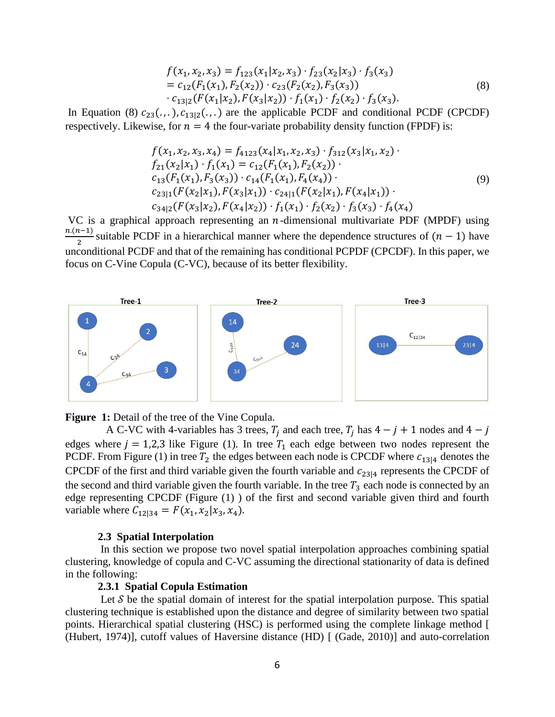$$
f(x_1, x_2, x_3) = f_{123}(x_1|x_2, x_3) \cdot f_{23}(x_2|x_3) \cdot f_3(x_3)
$$
  
=  $c_{12}(F_1(x_1), F_2(x_2)) \cdot c_{23}(F_2(x_2), F_3(x_3))$   
 $\cdot c_{13|2}(F(x_1|x_2), F(x_3|x_2)) \cdot f_1(x_1) \cdot f_2(x_2) \cdot f_3(x_3).$  (8)

In Equation (8)  $c_{23}(\ldots)$ ,  $c_{13|2}(\ldots)$  are the applicable PCDF and conditional PCDF (CPCDF) respectively. Likewise, for  $n = 4$  the four-variate probability density function (FPDF) is:

$$
f(x_1, x_2, x_3, x_4) = f_{4123}(x_4 | x_1, x_2, x_3) \cdot f_{312}(x_3 | x_1, x_2) \cdot f_{21}(x_2 | x_1) \cdot f_1(x_1) = c_{12}(F_1(x_1), F_2(x_2)) \cdot c_{13}(F_1(x_1), F_3(x_3)) \cdot c_{14}(F_1(x_1), F_4(x_4)) \cdot c_{23|1}(F(x_2 | x_1), F(x_3 | x_1)) \cdot c_{24|1}(F(x_2 | x_1), F(x_4 | x_1)) \cdot c_{34|2}(F(x_3 | x_2), F(x_4 | x_2)) \cdot f_1(x_1) \cdot f_2(x_2) \cdot f_3(x_3) \cdot f_4(x_4)
$$
\n(9)

VC is a graphical approach representing an  $n$ -dimensional multivariate PDF (MPDF) using  $n(n-1)$  $\frac{1}{2}$  suitable PCDF in a hierarchical manner where the dependence structures of  $(n - 1)$  have unconditional PCDF and that of the remaining has conditional PCPDF (CPCDF). In this paper, we focus on C-Vine Copula (C-VC), because of its better flexibility.



**Figure 1:** Detail of the tree of the Vine Copula.

A C-VC with 4-variables has 3 trees,  $T_i$  and each tree,  $T_i$  has  $4 - j + 1$  nodes and  $4 - j$ edges where  $j = 1,2,3$  like Figure (1). In tree  $T_1$  each edge between two nodes represent the PCDF. From Figure (1) in tree  $T_2$  the edges between each node is CPCDF where  $c_{13|4}$  denotes the CPCDF of the first and third variable given the fourth variable and  $c_{23|4}$  represents the CPCDF of the second and third variable given the fourth variable. In the tree  $T_3$  each node is connected by an edge representing CPCDF (Figure (1) ) of the first and second variable given third and fourth variable where  $C_{12|34} = F(x_1, x_2|x_3, x_4)$ .

### **2.3 Spatial Interpolation**

In this section we propose two novel spatial interpolation approaches combining spatial clustering, knowledge of copula and C-VC assuming the directional stationarity of data is defined in the following:

#### **2.3.1 Spatial Copula Estimation**

Let  $S$  be the spatial domain of interest for the spatial interpolation purpose. This spatial clustering technique is established upon the distance and degree of similarity between two spatial points. Hierarchical spatial clustering (HSC) is performed using the complete linkage method [ (Hubert, 1974)], cutoff values of Haversine distance (HD) [ (Gade, 2010)] and auto-correlation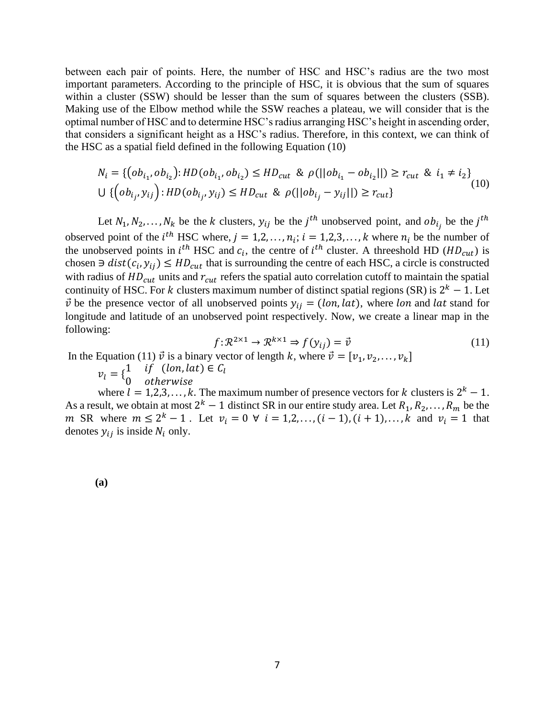between each pair of points. Here, the number of HSC and HSC's radius are the two most important parameters. According to the principle of HSC, it is obvious that the sum of squares within a cluster (SSW) should be lesser than the sum of squares between the clusters (SSB). Making use of the Elbow method while the SSW reaches a plateau, we will consider that is the optimal number of HSC and to determine HSC's radius arranging HSC's height in ascending order, that considers a significant height as a HSC's radius. Therefore, in this context, we can think of the HSC as a spatial field defined in the following Equation (10)

$$
N_i = \{ (ob_{i_1}, ob_{i_2}) : HD(obj_{i_1}, ob_{i_2}) \le HD_{cut} \& \rho(||ob_{i_1} - ob_{i_2}||) \ge r_{cut} \& i_1 \ne i_2 \}
$$
  

$$
\cup \{ (ob_{i_j}, y_{ij}) : HD(obj_{i_j}, y_{ij}) \le HD_{cut} \& \rho(||ob_{i_j} - y_{ij}||) \ge r_{cut} \}
$$
 (10)

Let  $N_1, N_2, ..., N_k$  be the k clusters,  $y_{ij}$  be the  $j^{th}$  unobserved point, and  $ob_{i_j}$  be the  $j^{th}$ observed point of the *i*<sup>th</sup> HSC where,  $j = 1, 2, ..., n_i$ ;  $i = 1, 2, 3, ..., k$  where  $n_i$  be the number of the unobserved points in  $i^{th}$  HSC and  $c_i$ , the centre of  $i^{th}$  cluster. A threeshold HD ( $HD_{cut}$ ) is chosen  $\exists$  dist( $c_i$ ,  $y_{ij}$ )  $\leq HD_{cut}$  that is surrounding the centre of each HSC, a circle is constructed with radius of  $HD_{cut}$  units and  $r_{cut}$  refers the spatial auto correlation cutoff to maintain the spatial continuity of HSC. For k clusters maximum number of distinct spatial regions (SR) is  $2^k - 1$ . Let  $\vec{v}$  be the presence vector of all unobserved points  $y_{ij} = (lon, lat)$ , where lon and lat stand for longitude and latitude of an unobserved point respectively. Now, we create a linear map in the following:

$$
f: \mathcal{R}^{2 \times 1} \to \mathcal{R}^{k \times 1} \Rightarrow f(y_{ij}) = \vec{v}
$$
 (11)

In the Equation (11)  $\vec{v}$  is a binary vector of length k, where  $\vec{v} = [v_1, v_2, \dots, v_k]$ 

 $v_l = \begin{cases} 1 & \text{if } (lon, lat) \in C_l \\ 0 & \text{otherwise} \end{cases}$ 0 otherwise

where  $l = 1, 2, 3, ..., k$ . The maximum number of presence vectors for k clusters is  $2^k - 1$ . As a result, we obtain at most  $2^k - 1$  distinct SR in our entire study area. Let  $R_1, R_2, \ldots, R_m$  be the m SR where  $m \le 2^k - 1$ . Let  $v_i = 0 \forall i = 1, 2, ..., (i - 1), (i + 1), ..., k$  and  $v_i = 1$  that denotes  $y_{ij}$  is inside  $N_i$  only.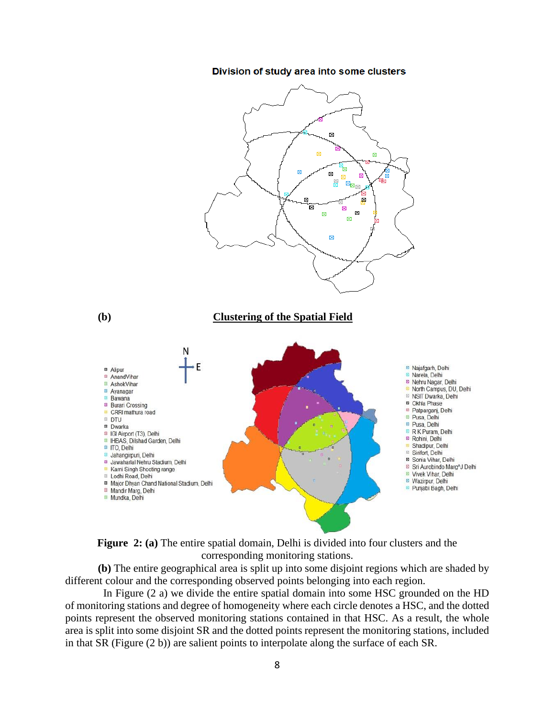#### Division of study area into some clusters





**(b)** The entire geographical area is split up into some disjoint regions which are shaded by different colour and the corresponding observed points belonging into each region.

 In Figure (2 a) we divide the entire spatial domain into some HSC grounded on the HD of monitoring stations and degree of homogeneity where each circle denotes a HSC, and the dotted points represent the observed monitoring stations contained in that HSC. As a result, the whole area is split into some disjoint SR and the dotted points represent the monitoring stations, included in that SR (Figure (2 b)) are salient points to interpolate along the surface of each SR.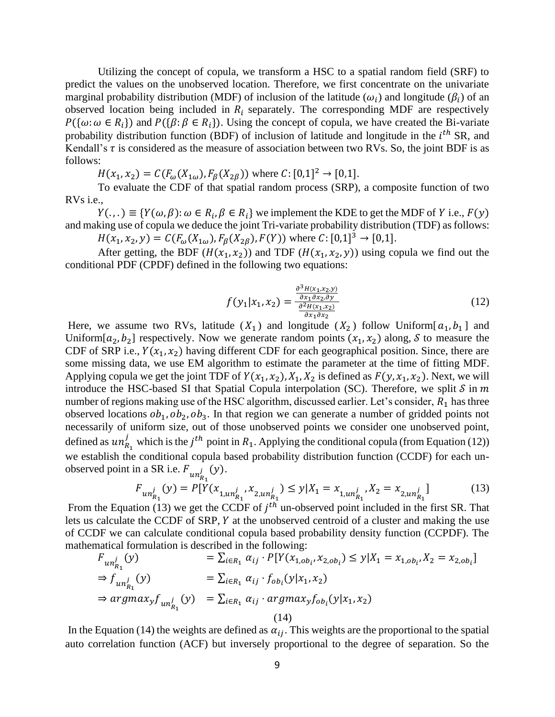Utilizing the concept of copula, we transform a HSC to a spatial random field (SRF) to predict the values on the unobserved location. Therefore, we first concentrate on the univariate marginal probability distribution (MDF) of inclusion of the latitude  $(\omega_i)$  and longitude  $(\beta_i)$  of an observed location being included in  $R_i$  separately. The corresponding MDF are respectively  $P(\{\omega : \omega \in R_i\})$  and  $P(\{\beta : \beta \in R_i\})$ . Using the concept of copula, we have created the Bi-variate probability distribution function (BDF) of inclusion of latitude and longitude in the  $i<sup>th</sup>$  SR, and Kendall's  $\tau$  is considered as the measure of association between two RVs. So, the joint BDF is as follows:

 $H(x_1, x_2) = C(F_{\omega}(X_{1\omega}), F_{\beta}(X_{2\beta}))$  where  $C: [0,1]^2 \rightarrow [0,1]$ .

To evaluate the CDF of that spatial random process (SRP), a composite function of two RVs i.e.,

 $Y(\cdot, \cdot) \equiv \{Y(\omega, \beta): \omega \in R_i, \beta \in R_i\}$  we implement the KDE to get the MDF of Y i.e.,  $F(y)$ and making use of copula we deduce the joint Tri-variate probability distribution (TDF) as follows:

 $H(x_1, x_2, y) = C(F_\omega(X_{1\omega}), F_\beta(X_{2\beta}), F(Y))$  where  $C: [0,1]^3 \to [0,1]$ .

After getting, the BDF ( $H(x_1, x_2)$ ) and TDF ( $H(x_1, x_2, y)$ ) using copula we find out the conditional PDF (CPDF) defined in the following two equations:

$$
f(y_1|x_1, x_2) = \frac{\frac{\partial^3 H(x_1, x_2, y)}{\partial x_1 \partial x_2, \partial y}}{\frac{\partial^2 H(x_1, x_2)}{\partial x_1 \partial x_2}}
$$
(12)

Here, we assume two RVs, latitude  $(X_1)$  and longitude  $(X_2)$  follow Uniform[ $a_1, b_1$ ] and Uniform[ $a_2, b_2$ ] respectively. Now we generate random points  $(x_1, x_2)$  along, *S* to measure the CDF of SRP i.e.,  $Y(x_1, x_2)$  having different CDF for each geographical position. Since, there are some missing data, we use EM algorithm to estimate the parameter at the time of fitting MDF. Applying copula we get the joint TDF of  $Y(x_1, x_2)$ ,  $X_1, X_2$  is defined as  $F(y, x_1, x_2)$ . Next, we will introduce the HSC-based SI that Spatial Copula interpolation (SC). Therefore, we split  $S$  in  $m$ number of regions making use of the HSC algorithm, discussed earlier. Let's consider,  $R_1$  has three observed locations  $ob_1$ ,  $ob_2$ ,  $ob_3$ . In that region we can generate a number of gridded points not necessarily of uniform size, out of those unobserved points we consider one unobserved point, defined as  $un_{R_1}^j$  which is the  $j^{th}$  point in  $R_1$ . Applying the conditional copula (from Equation (12)) we establish the conditional copula based probability distribution function (CCDF) for each unobserved point in a SR i.e.  $F_{un_{R_1}^j}(y)$ .

$$
F_{un_{R_1}^j}(y) = P[Y(x_{1,un_{R_1}^j}, x_{2,un_{R_1}^j}) \le y | X_1 = x_{1,un_{R_1}^j}, X_2 = x_{2,un_{R_1}^j}] \tag{13}
$$

From the Equation (13) we get the CCDF of  $j<sup>th</sup>$  un-observed point included in the first SR. That lets us calculate the CCDF of SRP,  $Y$  at the unobserved centroid of a cluster and making the use of CCDF we can calculate conditional copula based probability density function (CCPDF). The mathematical formulation is described in the following:

$$
F_{un_{R_1}^j}(y) = \sum_{i \in R_1} \alpha_{ij} \cdot P[Y(x_{1,ob_i}, x_{2,ob_i}) \le y | X_1 = x_{1,ob_i}, X_2 = x_{2,ob_i}]
$$
  
\n
$$
\Rightarrow f_{un_{R_1}^j}(y) = \sum_{i \in R_1} \alpha_{ij} \cdot f_{ob_i}(y | x_1, x_2)
$$
  
\n
$$
\Rightarrow \operatorname{argmax}_y f_{un_{R_1}^j}(y) = \sum_{i \in R_1} \alpha_{ij} \cdot \operatorname{argmax}_y f_{ob_i}(y | x_1, x_2)
$$
  
\n(14)

In the Equation (14) the weights are defined as  $\alpha_{ij}$ . This weights are the proportional to the spatial auto correlation function (ACF) but inversely proportional to the degree of separation. So the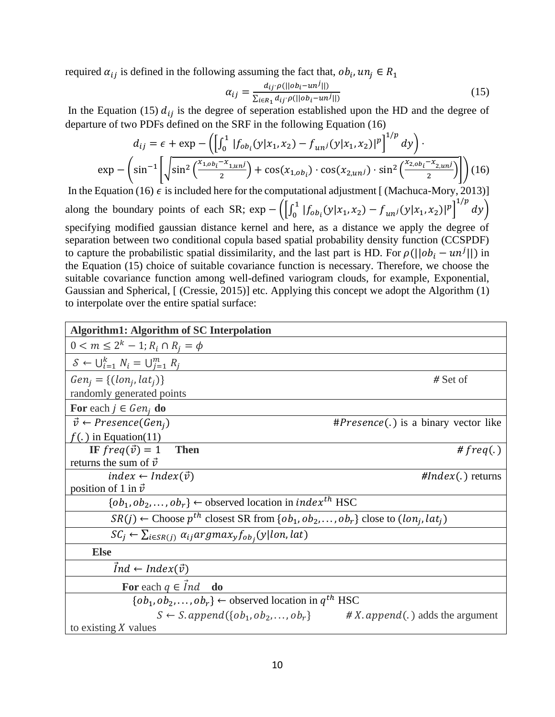required  $\alpha_{ij}$  is defined in the following assuming the fact that,  $ob_i$ ,  $un_j \in R_1$ 

$$
\alpha_{ij} = \frac{d_{ij} \cdot \rho(||ob_i - un^j||)}{\sum_{i \in R_1} d_{ij} \cdot \rho(||ob_i - un^j||)}
$$
(15)

In the Equation (15)  $d_{ij}$  is the degree of seperation established upon the HD and the degree of departure of two PDFs defined on the SRF in the following Equation (16)

$$
d_{ij} = \epsilon + \exp\left(-\left(\int_0^1 |f_{ob_i}(y|x_1, x_2) - f_{unj}(y|x_1, x_2)|^p\right)^{1/p} dy\right) \cdot \exp\left(-\left(\sin^{-1}\left[\sqrt{\sin^2\left(\frac{x_{1, ob_i} - x_{1, unj}}{2}\right)} + \cos(x_{1, ob_i}) \cdot \cos(x_{2, unj}) \cdot \sin^2\left(\frac{x_{2, ob_i} - x_{2, unj}}{2}\right)\right]\right) (16)
$$

In the Equation (16)  $\epsilon$  is included here for the computational adjustment [ (Machuca-Mory, 2013)] along the boundary points of each SR; exp -  $\left( \int_0^1$  $\int_0^1 |f_{\text{obj}}(y|x_1, x_2) - f_{\text{uni}}(y|x_1, x_2)|^p \Big]^{1/p} dy$ specifying modified gaussian distance kernel and here, as a distance we apply the degree of separation between two conditional copula based spatial probability density function (CCSPDF) to capture the probabilistic spatial dissimilarity, and the last part is HD. For  $\rho(||ob_i - un^j||)$  in the Equation (15) choice of suitable covariance function is necessary. Therefore, we choose the suitable covariance function among well-defined variogram clouds, for example, Exponential, Gaussian and Spherical, [ (Cressie, 2015)] etc. Applying this concept we adopt the Algorithm (1) to interpolate over the entire spatial surface:

| <b>Algorithm1: Algorithm of SC Interpolation</b>                                                            |                                                                                     |  |  |  |
|-------------------------------------------------------------------------------------------------------------|-------------------------------------------------------------------------------------|--|--|--|
| $0 < m \leq 2^k - 1$ ; $R_i \cap R_j = \phi$                                                                |                                                                                     |  |  |  |
| $S \leftarrow \bigcup_{i=1}^{k} N_i = \bigcup_{i=1}^{m} R_i$                                                |                                                                                     |  |  |  |
| $Gen_i = \{ (lon_i, lat_i) \}$                                                                              | $#$ Set of                                                                          |  |  |  |
| randomly generated points                                                                                   |                                                                                     |  |  |  |
| For each $j \in Gen_i$ do                                                                                   |                                                                                     |  |  |  |
| $\vec{v} \leftarrow \text{Pregence}(Gen_i)$                                                                 | # <i>Presence</i> (.) is a binary vector like                                       |  |  |  |
| $f(.)$ in Equation(11)                                                                                      |                                                                                     |  |  |  |
| IF $freq(\vec{v}) = 1$ Then                                                                                 | # $freq(.)$                                                                         |  |  |  |
| returns the sum of $\vec{v}$                                                                                |                                                                                     |  |  |  |
| $index \leftarrow Index(\vec{v})$                                                                           | $\#Index(.)$ returns                                                                |  |  |  |
| position of 1 in $\vec{v}$                                                                                  |                                                                                     |  |  |  |
| $\{ob_1, ob_2, \ldots, ob_r\}$ $\leftarrow$ observed location in <i>index<sup>th</sup></i> HSC              |                                                                                     |  |  |  |
| $SR(j) \leftarrow$ Choose $p^{th}$ closest SR from $\{ob_1, ob_2, \ldots, ob_r\}$ close to $(lon_j, lat_j)$ |                                                                                     |  |  |  |
| $SC_i \leftarrow \sum_{i \in SR(j)} \alpha_{ij} argmax_y f_{ob_i}(y lon, lat)$                              |                                                                                     |  |  |  |
| <b>Else</b>                                                                                                 |                                                                                     |  |  |  |
| $Ind \leftarrow Index(\vec{v})$                                                                             |                                                                                     |  |  |  |
| For each $q \in Ind$ do                                                                                     |                                                                                     |  |  |  |
| $\{ob_1, ob_2, \ldots, ob_r\}$ $\leftarrow$ observed location in $q^{th}$ HSC                               |                                                                                     |  |  |  |
|                                                                                                             | $S \leftarrow S$ . append({ $ob_1, ob_2, , ob_r$ } # X. append(.) adds the argument |  |  |  |
| to existing $X$ values                                                                                      |                                                                                     |  |  |  |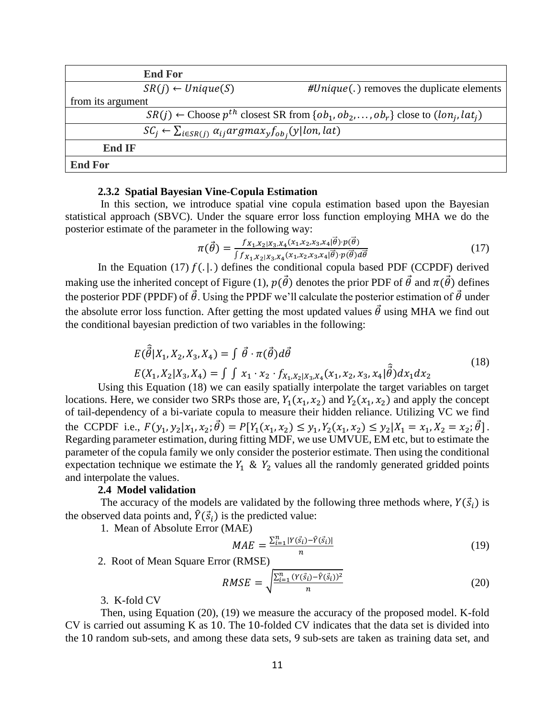|                                                                                | <b>End For</b>                                                                                              |                                              |  |  |  |
|--------------------------------------------------------------------------------|-------------------------------------------------------------------------------------------------------------|----------------------------------------------|--|--|--|
|                                                                                | $SR(i) \leftarrow Unique(S)$                                                                                | $\#Unique$ .) removes the duplicate elements |  |  |  |
| from its argument                                                              |                                                                                                             |                                              |  |  |  |
|                                                                                | $SR(i) \leftarrow$ Choose $p^{th}$ closest SR from $\{ob_1, ob_2, \ldots, ob_r\}$ close to $(lon_i, lat_i)$ |                                              |  |  |  |
| $SC_i \leftarrow \sum_{i \in SR(j)} \alpha_{ij} argmax_v f_{ob_i}(y lon, lat)$ |                                                                                                             |                                              |  |  |  |
| <b>End IF</b>                                                                  |                                                                                                             |                                              |  |  |  |
| <b>End For</b>                                                                 |                                                                                                             |                                              |  |  |  |

# **2.3.2 Spatial Bayesian Vine-Copula Estimation**

In this section, we introduce spatial vine copula estimation based upon the Bayesian statistical approach (SBVC). Under the square error loss function employing MHA we do the posterior estimate of the parameter in the following way:

$$
\pi(\vec{\theta}) = \frac{f_{X_1, X_2|X_3, X_4}(x_1, x_2, x_3, x_4 | \vec{\theta}) \cdot p(\vec{\theta})}{\int f_{X_1, X_2|X_3, X_4}(x_1, x_2, x_3, x_4 | \vec{\theta}) \cdot p(\vec{\theta}) d\vec{\theta}}
$$
(17)

In the Equation (17)  $f(.|.)$  defines the conditional copula based PDF (CCPDF) derived making use the inherited concept of Figure (1),  $p(\vec{\theta})$  denotes the prior PDF of  $\vec{\theta}$  and  $\pi(\vec{\theta})$  defines the posterior PDF (PPDF) of  $\vec{\theta}$ . Using the PPDF we'll calculate the posterior estimation of  $\vec{\theta}$  under the absolute error loss function. After getting the most updated values  $\vec{\theta}$  using MHA we find out the conditional bayesian prediction of two variables in the following:

$$
E(\hat{\vec{\theta}}|X_1, X_2, X_3, X_4) = \int \vec{\theta} \cdot \pi(\vec{\theta}) d\vec{\theta}
$$
  
\n
$$
E(X_1, X_2|X_3, X_4) = \int \int x_1 \cdot x_2 \cdot f_{X_1, X_2|X_3, X_4}(x_1, x_2, x_3, x_4|\hat{\vec{\theta}}) dx_1 dx_2
$$
\n(18)

Using this Equation (18) we can easily spatially interpolate the target variables on target locations. Here, we consider two SRPs those are,  $Y_1(x_1, x_2)$  and  $Y_2(x_1, x_2)$  and apply the concept of tail-dependency of a bi-variate copula to measure their hidden reliance. Utilizing VC we find the CCPDF i.e.,  $F(y_1, y_2 | x_1, x_2; \vec{\theta}) = P[Y_1(x_1, x_2) \leq y_1, Y_2(x_1, x_2) \leq y_2 | X_1 = x_1, X_2 = x_2; \vec{\theta}].$ Regarding parameter estimation, during fitting MDF, we use UMVUE, EM etc, but to estimate the parameter of the copula family we only consider the posterior estimate. Then using the conditional expectation technique we estimate the  $Y_1$  &  $Y_2$  values all the randomly generated gridded points and interpolate the values.

# **2.4 Model validation**

The accuracy of the models are validated by the following three methods where,  $Y(\vec{s}_i)$  is the observed data points and,  $\hat{Y}(\vec{s}_i)$  is the predicted value:

1. Mean of Absolute Error (MAE)

$$
MAE = \frac{\sum_{i=1}^{n} |Y(\vec{s}_i) - \hat{Y}(\vec{s}_i)|}{n} \tag{19}
$$

2. Root of Mean Square Error (RMSE)

$$
RMSE = \sqrt{\frac{\sum_{i=1}^{n} (Y(\vec{s}_i) - \hat{Y}(\vec{s}_i))^2}{n}}
$$
(20)

# 3. K-fold CV

Then, using Equation (20), (19) we measure the accuracy of the proposed model. K-fold CV is carried out assuming K as 10. The 10-folded CV indicates that the data set is divided into the 10 random sub-sets, and among these data sets, 9 sub-sets are taken as training data set, and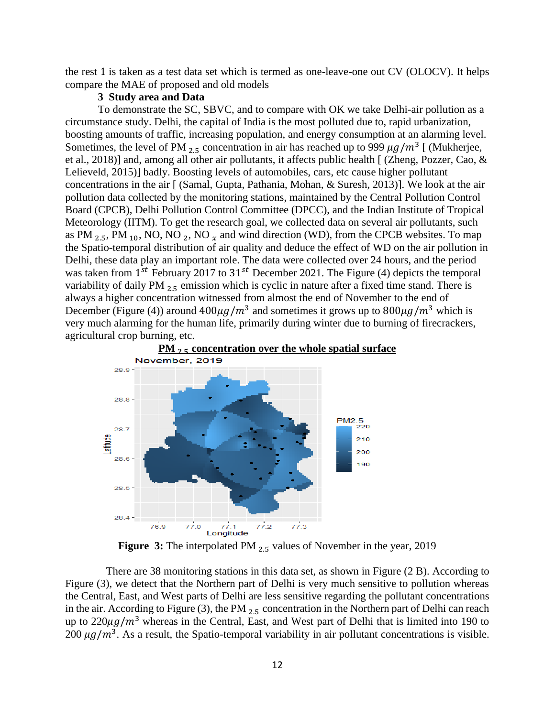the rest 1 is taken as a test data set which is termed as one-leave-one out CV (OLOCV). It helps compare the MAE of proposed and old models

## **3 Study area and Data**

To demonstrate the SC, SBVC, and to compare with OK we take Delhi-air pollution as a circumstance study. Delhi, the capital of India is the most polluted due to, rapid urbanization, boosting amounts of traffic, increasing population, and energy consumption at an alarming level. Sometimes, the level of PM  $_{2.5}$  concentration in air has reached up to 999  $\mu g/m^3$  [ (Mukherjee, et al., 2018)] and, among all other air pollutants, it affects public health [ (Zheng, Pozzer, Cao, & Lelieveld, 2015)] badly. Boosting levels of automobiles, cars, etc cause higher pollutant concentrations in the air [ (Samal, Gupta, Pathania, Mohan, & Suresh, 2013)]. We look at the air pollution data collected by the monitoring stations, maintained by the Central Pollution Control Board (CPCB), Delhi Pollution Control Committee (DPCC), and the Indian Institute of Tropical Meteorology (IITM). To get the research goal, we collected data on several air pollutants, such as PM  $_2$  5, PM  $_{10}$ , NO, NO  $_2$ , NO  $_x$  and wind direction (WD), from the CPCB websites. To map the Spatio-temporal distribution of air quality and deduce the effect of WD on the air pollution in Delhi, these data play an important role. The data were collected over 24 hours, and the period was taken from  $1^{st}$  February 2017 to  $31^{st}$  December 2021. The Figure (4) depicts the temporal variability of daily PM <sub>2.5</sub> emission which is cyclic in nature after a fixed time stand. There is always a higher concentration witnessed from almost the end of November to the end of December (Figure (4)) around  $400 \mu g/m^3$  and sometimes it grows up to  $800 \mu g/m^3$  which is very much alarming for the human life, primarily during winter due to burning of firecrackers, agricultural crop burning, etc.



**Figure 3:** The interpolated PM <sub>2.5</sub> values of November in the year, 2019

 There are 38 monitoring stations in this data set, as shown in Figure (2 B). According to Figure (3), we detect that the Northern part of Delhi is very much sensitive to pollution whereas the Central, East, and West parts of Delhi are less sensitive regarding the pollutant concentrations in the air. According to Figure (3), the PM  $_{2.5}$  concentration in the Northern part of Delhi can reach up to  $220\mu g/m^3$  whereas in the Central, East, and West part of Delhi that is limited into 190 to 200  $\mu$ g/m<sup>3</sup>. As a result, the Spatio-temporal variability in air pollutant concentrations is visible.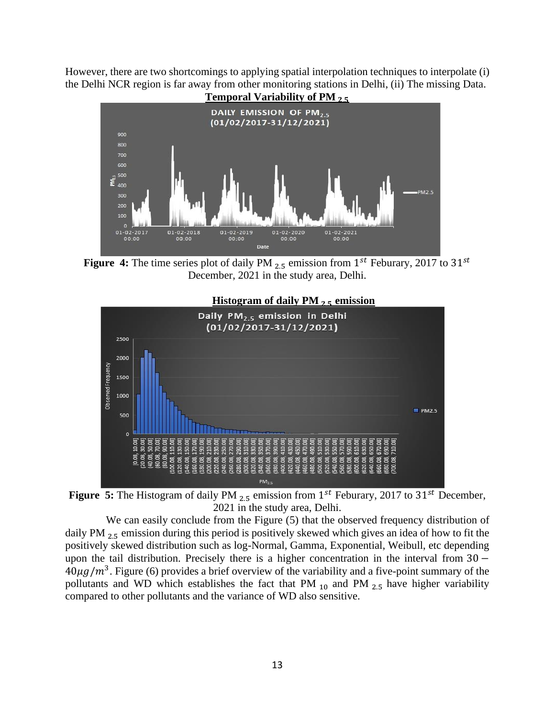However, there are two shortcomings to applying spatial interpolation techniques to interpolate (i) the Delhi NCR region is far away from other monitoring stations in Delhi, (ii) The missing Data.



**Figure 4:** The time series plot of daily PM  $_{2.5}$  emission from  $1^{st}$  Feburary, 2017 to  $31^{st}$ December, 2021 in the study area, Delhi.



**Figure 5:** The Histogram of daily PM  $_{2.5}$  emission from  $1^{st}$  Feburary, 2017 to  $31^{st}$  December, 2021 in the study area, Delhi.

We can easily conclude from the Figure  $(5)$  that the observed frequency distribution of daily PM  $_{2}$  = emission during this period is positively skewed which gives an idea of how to fit the positively skewed distribution such as log-Normal, Gamma, Exponential, Weibull, etc depending upon the tail distribution. Precisely there is a higher concentration in the interval from 30 −  $40\mu g/m^3$ . Figure (6) provides a brief overview of the variability and a five-point summary of the pollutants and WD which establishes the fact that PM  $_{10}$  and PM  $_{2.5}$  have higher variability compared to other pollutants and the variance of WD also sensitive.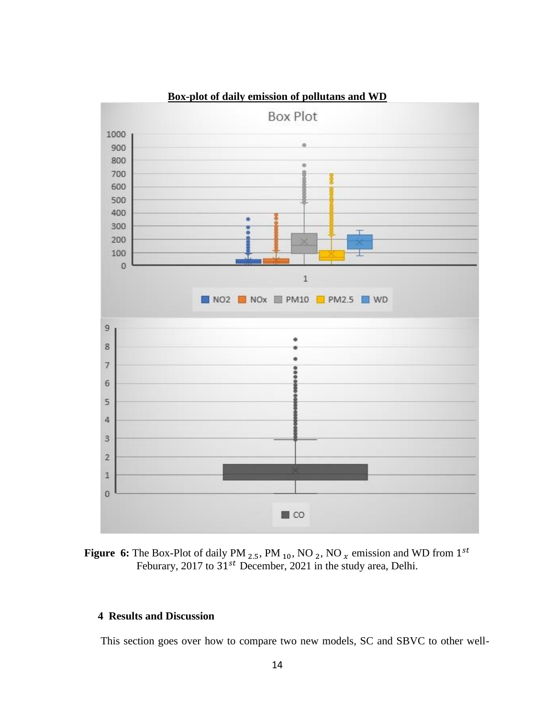

# **Box-plot of daily emission of pollutans and WD**



# **4 Results and Discussion**

This section goes over how to compare two new models, SC and SBVC to other well-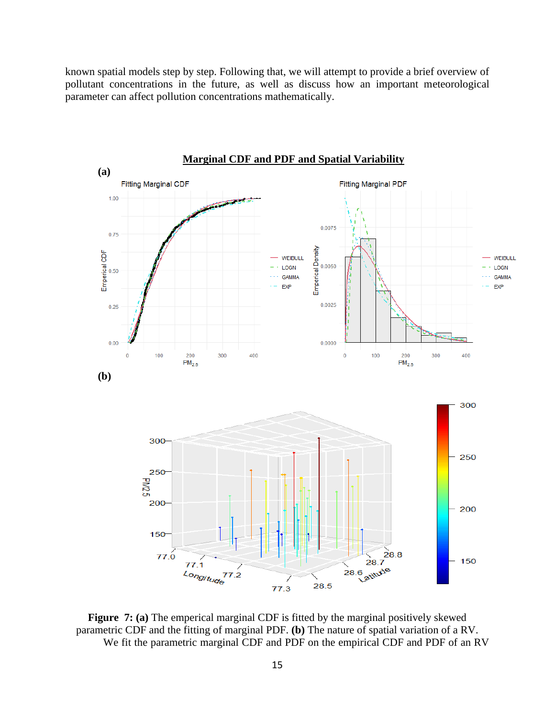known spatial models step by step. Following that, we will attempt to provide a brief overview of pollutant concentrations in the future, as well as discuss how an important meteorological parameter can affect pollution concentrations mathematically.



**Figure 7: (a)** The emperical marginal CDF is fitted by the marginal positively skewed parametric CDF and the fitting of marginal PDF. **(b)** The nature of spatial variation of a RV. We fit the parametric marginal CDF and PDF on the empirical CDF and PDF of an RV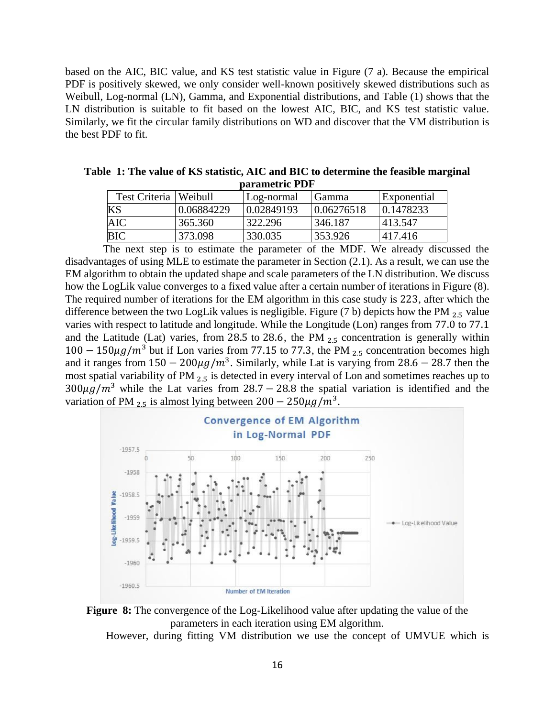based on the AIC, BIC value, and KS test statistic value in Figure (7 a). Because the empirical PDF is positively skewed, we only consider well-known positively skewed distributions such as Weibull, Log-normal (LN), Gamma, and Exponential distributions, and Table (1) shows that the LN distribution is suitable to fit based on the lowest AIC, BIC, and KS test statistic value. Similarly, we fit the circular family distributions on WD and discover that the VM distribution is the best PDF to fit.

| Table 1: The value of KS statistic, AIC and BIC to determine the feasible marginal |  |  |  |  |  |
|------------------------------------------------------------------------------------|--|--|--|--|--|
| parametric PDF                                                                     |  |  |  |  |  |

| Test Criteria   Weibull |            | Log-normal | <b>Gamma</b> | <b>Exponential</b> |
|-------------------------|------------|------------|--------------|--------------------|
| KS                      | 0.06884229 | 0.02849193 | 0.06276518   | 0.1478233          |
| AIC                     | 365.360    | 322.296    | 346.187      | 1413.547           |
| BІC                     | 373.098    | 330.035    | 353.926      | 417.416            |

 The next step is to estimate the parameter of the MDF. We already discussed the disadvantages of using MLE to estimate the parameter in Section (2.1). As a result, we can use the EM algorithm to obtain the updated shape and scale parameters of the LN distribution. We discuss how the LogLik value converges to a fixed value after a certain number of iterations in Figure (8). The required number of iterations for the EM algorithm in this case study is 223, after which the difference between the two LogLik values is negligible. Figure (7 b) depicts how the PM  $_{2.5}$  value varies with respect to latitude and longitude. While the Longitude (Lon) ranges from 77.0 to 77.1 and the Latitude (Lat) varies, from 28.5 to 28.6, the PM  $_{2.5}$  concentration is generally within  $100 - 150 \mu g/m^3$  but if Lon varies from 77.15 to 77.3, the PM <sub>2.5</sub> concentration becomes high and it ranges from  $150 - 200 \mu g/m^3$ . Similarly, while Lat is varying from 28.6 – 28.7 then the most spatial variability of PM 2.5 is detected in every interval of Lon and sometimes reaches up to  $300\mu g/m^3$  while the Lat varies from 28.7 – 28.8 the spatial variation is identified and the variation of PM  $_{2.5}$  is almost lying between  $200 - 250 \mu g/m^3$ .





However, during fitting VM distribution we use the concept of UMVUE which is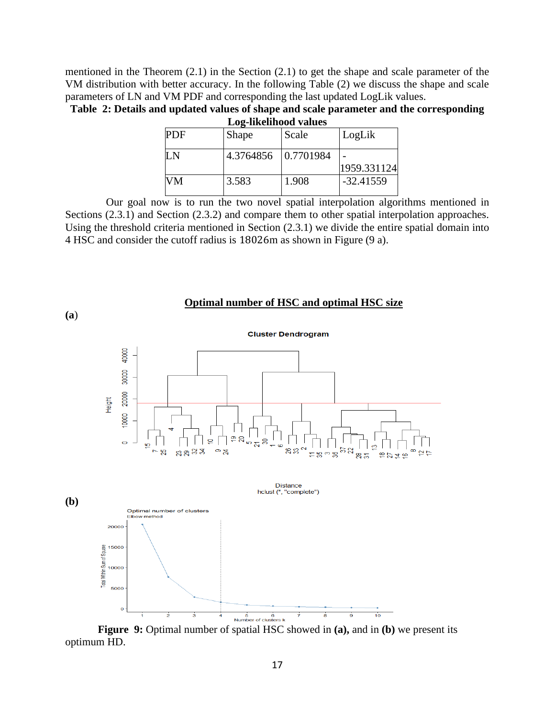mentioned in the Theorem (2.1) in the Section (2.1) to get the shape and scale parameter of the VM distribution with better accuracy. In the following Table (2) we discuss the shape and scale parameters of LN and VM PDF and corresponding the last updated LogLik values.

**Table 2: Details and updated values of shape and scale parameter and the corresponding Log-likelihood values**

| <b>PDF</b>    | Shape               | Scale | LogLik      |  |  |  |
|---------------|---------------------|-------|-------------|--|--|--|
| $\mathbf I$ N | 4.3764856 0.7701984 |       | 1959.331124 |  |  |  |
| VM            | 3.583               | 1.908 | $-32.41559$ |  |  |  |

 Our goal now is to run the two novel spatial interpolation algorithms mentioned in Sections (2.3.1) and Section (2.3.2) and compare them to other spatial interpolation approaches. Using the threshold criteria mentioned in Section (2.3.1) we divide the entire spatial domain into 4 HSC and consider the cutoff radius is 18026m as shown in Figure (9 a).



**Figure 9:** Optimal number of spatial HSC showed in **(a),** and in **(b)** we present its optimum HD.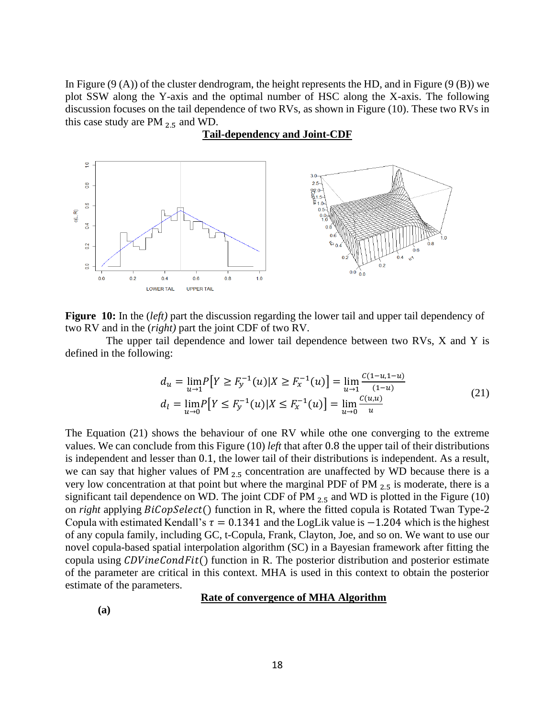In Figure  $(9 (A))$  of the cluster dendrogram, the height represents the HD, and in Figure  $(9 (B))$  we plot SSW along the Y-axis and the optimal number of HSC along the X-axis. The following discussion focuses on the tail dependence of two RVs, as shown in Figure (10). These two RVs in this case study are PM  $_{2.5}$  and WD.



# **Tail-dependency and Joint-CDF**

**Figure 10:** In the (*left)* part the discussion regarding the lower tail and upper tail dependency of two RV and in the (*right)* part the joint CDF of two RV.

 The upper tail dependence and lower tail dependence between two RVs, X and Y is defined in the following:

$$
d_u = \lim_{u \to 1} P\left[Y \ge F_y^{-1}(u) | X \ge F_x^{-1}(u)\right] = \lim_{u \to 1} \frac{c(1-u, 1-u)}{(1-u)} d_l = \lim_{u \to 0} P\left[Y \le F_y^{-1}(u) | X \le F_x^{-1}(u)\right] = \lim_{u \to 0} \frac{c(u, u)}{u}
$$
(21)

The Equation (21) shows the behaviour of one RV while othe one converging to the extreme values. We can conclude from this Figure (10) *left* that after 0.8 the upper tail of their distributions is independent and lesser than 0.1, the lower tail of their distributions is independent. As a result, we can say that higher values of PM  $_{2.5}$  concentration are unaffected by WD because there is a very low concentration at that point but where the marginal PDF of PM  $_{2.5}$  is moderate, there is a significant tail dependence on WD. The joint CDF of PM  $_{2.5}$  and WD is plotted in the Figure (10) on *right* applying  $BiCopSelect()$  function in R, where the fitted copula is Rotated Twan Type-2 Copula with estimated Kendall's  $\tau = 0.1341$  and the LogLik value is  $-1.204$  which is the highest of any copula family, including GC, t-Copula, Frank, Clayton, Joe, and so on. We want to use our novel copula-based spatial interpolation algorithm (SC) in a Bayesian framework after fitting the copula using  $CDVineCondFit()$  function in R. The posterior distribution and posterior estimate of the parameter are critical in this context. MHA is used in this context to obtain the posterior estimate of the parameters.

#### **Rate of convergence of MHA Algorithm**

**(a)**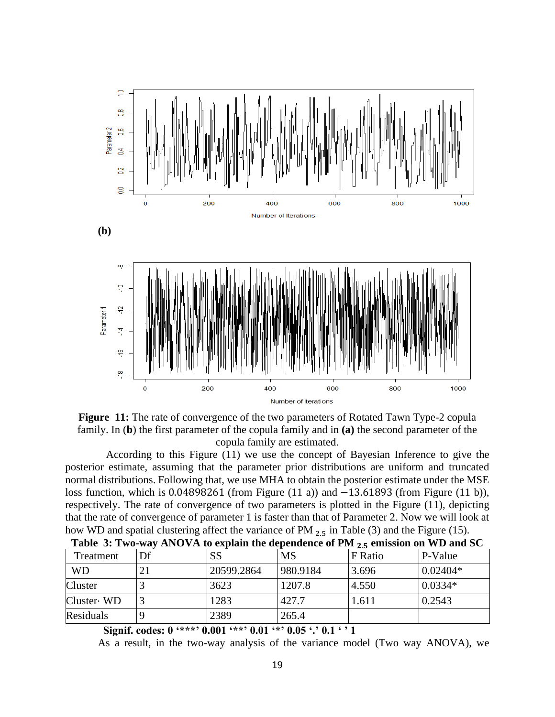



 According to this Figure (11) we use the concept of Bayesian Inference to give the posterior estimate, assuming that the parameter prior distributions are uniform and truncated normal distributions. Following that, we use MHA to obtain the posterior estimate under the MSE loss function, which is 0.04898261 (from Figure (11 a)) and −13.61893 (from Figure (11 b)), respectively. The rate of convergence of two parameters is plotted in the Figure (11), depicting that the rate of convergence of parameter 1 is faster than that of Parameter 2. Now we will look at how WD and spatial clustering affect the variance of PM  $_{2.5}$  in Table (3) and the Figure (15).

| Treatment      | Df | SS         | <b>MS</b> | F Ratio | P-Value     |
|----------------|----|------------|-----------|---------|-------------|
| <b>WD</b>      | 21 | 20599.2864 | 980.9184  | 3.696   | $ 0.02404*$ |
| <b>Cluster</b> |    | 3623       | 1207.8    | 4.550   | $0.0334*$   |
| Cluster WD     |    | 1283       | 427.7     | 1.611   | 0.2543      |
| Residuals      |    | 2389       | 265.4     |         |             |

| Table 3: Two-way ANOVA to explain the dependence of PM $_{2.5}$ emission on WD and SC |  |  |  |
|---------------------------------------------------------------------------------------|--|--|--|
|                                                                                       |  |  |  |

**Signif. codes: 0 '\*\*\*' 0.001 '\*\*' 0.01 '\*' 0.05 '.' 0.1 ' ' 1**

As a result, in the two-way analysis of the variance model (Two way ANOVA), we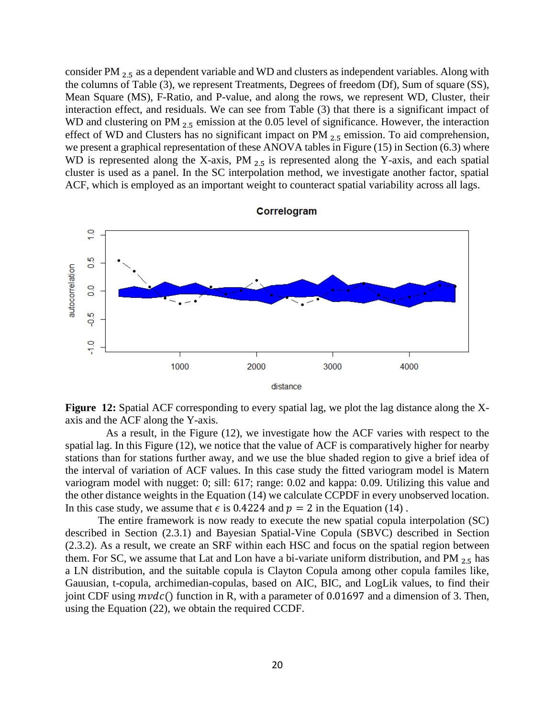consider PM 2.5 as a dependent variable and WD and clusters as independent variables. Along with the columns of Table (3), we represent Treatments, Degrees of freedom (Df), Sum of square (SS), Mean Square (MS), F-Ratio, and P-value, and along the rows, we represent WD, Cluster, their interaction effect, and residuals. We can see from Table (3) that there is a significant impact of WD and clustering on PM  $_{2.5}$  emission at the 0.05 level of significance. However, the interaction effect of WD and Clusters has no significant impact on PM  $_{2.5}$  emission. To aid comprehension, we present a graphical representation of these ANOVA tables in Figure (15) in Section (6.3) where WD is represented along the X-axis,  $PM_{2.5}$  is represented along the Y-axis, and each spatial cluster is used as a panel. In the SC interpolation method, we investigate another factor, spatial ACF, which is employed as an important weight to counteract spatial variability across all lags.



**Figure 12:** Spatial ACF corresponding to every spatial lag, we plot the lag distance along the Xaxis and the ACF along the Y-axis.

 As a result, in the Figure (12), we investigate how the ACF varies with respect to the spatial lag. In this Figure (12), we notice that the value of ACF is comparatively higher for nearby stations than for stations further away, and we use the blue shaded region to give a brief idea of the interval of variation of ACF values. In this case study the fitted variogram model is Matern variogram model with nugget: 0; sill: 617; range: 0.02 and kappa: 0.09. Utilizing this value and the other distance weights in the Equation (14) we calculate CCPDF in every unobserved location. In this case study, we assume that  $\epsilon$  is 0.4224 and  $p = 2$  in the Equation (14).

The entire framework is now ready to execute the new spatial copula interpolation (SC) described in Section (2.3.1) and Bayesian Spatial-Vine Copula (SBVC) described in Section (2.3.2). As a result, we create an SRF within each HSC and focus on the spatial region between them. For SC, we assume that Lat and Lon have a bi-variate uniform distribution, and PM  $_{2.5}$  has a LN distribution, and the suitable copula is Clayton Copula among other copula familes like, Gauusian, t-copula, archimedian-copulas, based on AIC, BIC, and LogLik values, to find their joint CDF using  $m\nu dc$  () function in R, with a parameter of 0.01697 and a dimension of 3. Then, using the Equation (22), we obtain the required CCDF.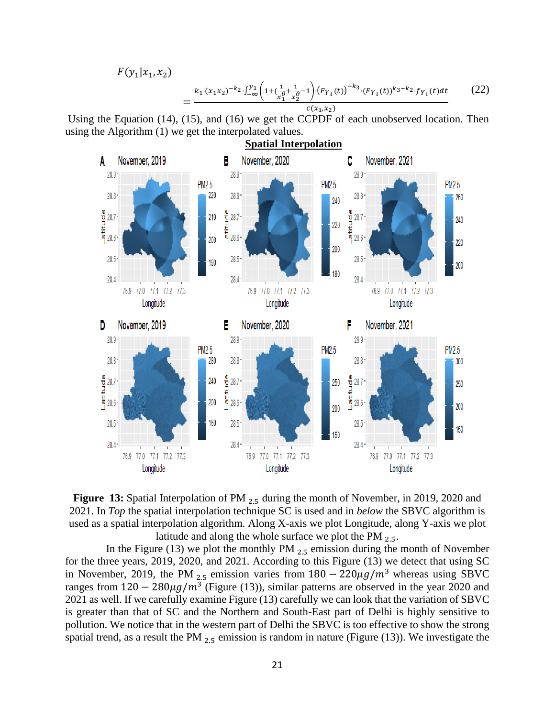$F(y_1|x_1, x_2)$ =  $k_1 \cdot (x_1 x_2)^{-k_2} \cdot \int_{-\infty}^{y_1} \left( 1 + \left( \frac{1}{x_1^{\ell}} \right)$  $\frac{1}{x_1^{\theta}} + \frac{1}{x_2^{\theta}}$  $\frac{1}{x_2^{\theta}}-1\cdot (F_{Y_1}(t))^{-k_3} \cdot (F_{Y_1}(t))^{k_3-k_2} \cdot f_{Y_1}(t)dt$  $c(x_1,x_2)$ (22)

Using the Equation (14), (15), and (16) we get the CCPDF of each unobserved location. Then using the Algorithm (1) we get the interpolated values.



**Figure 13:** Spatial Interpolation of PM <sub>2.5</sub> during the month of November, in 2019, 2020 and 2021. In *Top* the spatial interpolation technique SC is used and in *below* the SBVC algorithm is used as a spatial interpolation algorithm. Along X-axis we plot Longitude, along Y-axis we plot latitude and along the whole surface we plot the PM  $_{2.5}$ .

In the Figure (13) we plot the monthly PM  $_{2.5}$  emission during the month of November for the three years, 2019, 2020, and 2021. According to this Figure (13) we detect that using SC in November, 2019, the PM  $_{2.5}$  emission varies from  $180 - 220\mu g/m^3$  whereas using SBVC ranges from  $120 - 280 \mu g/m^3$  (Figure (13)), similar patterns are observed in the year 2020 and 2021 as well. If we carefully examine Figure (13) carefully we can look that the variation of SBVC is greater than that of SC and the Northern and South-East part of Delhi is highly sensitive to pollution. We notice that in the western part of Delhi the SBVC is too effective to show the strong spatial trend, as a result the PM  $_{2.5}$  emission is random in nature (Figure (13)). We investigate the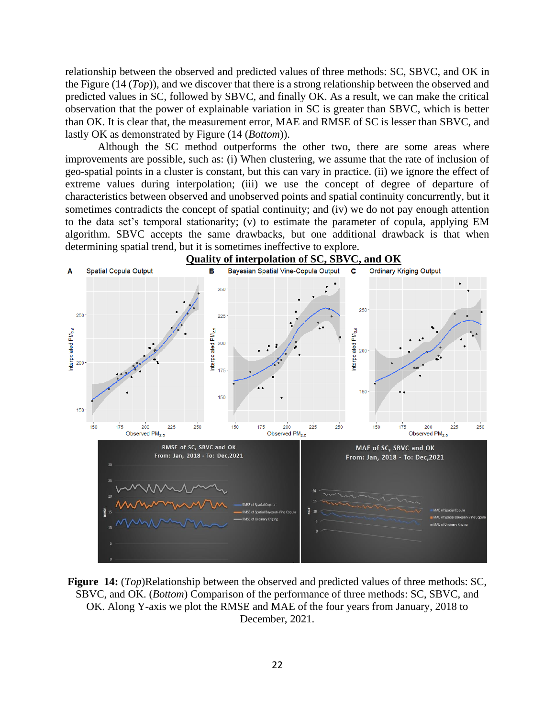relationship between the observed and predicted values of three methods: SC, SBVC, and OK in the Figure (14 (*Top*)), and we discover that there is a strong relationship between the observed and predicted values in SC, followed by SBVC, and finally OK. As a result, we can make the critical observation that the power of explainable variation in SC is greater than SBVC, which is better than OK. It is clear that, the measurement error, MAE and RMSE of SC is lesser than SBVC, and lastly OK as demonstrated by Figure (14 (*Bottom*)).

Although the SC method outperforms the other two, there are some areas where improvements are possible, such as: (i) When clustering, we assume that the rate of inclusion of geo-spatial points in a cluster is constant, but this can vary in practice. (ii) we ignore the effect of extreme values during interpolation; (iii) we use the concept of degree of departure of characteristics between observed and unobserved points and spatial continuity concurrently, but it sometimes contradicts the concept of spatial continuity; and (iv) we do not pay enough attention to the data set's temporal stationarity; (v) to estimate the parameter of copula, applying EM algorithm. SBVC accepts the same drawbacks, but one additional drawback is that when determining spatial trend, but it is sometimes ineffective to explore.



**Figure 14:** (*Top*)Relationship between the observed and predicted values of three methods: SC, SBVC, and OK. (*Bottom*) Comparison of the performance of three methods: SC, SBVC, and OK. Along Y-axis we plot the RMSE and MAE of the four years from January, 2018 to December, 2021.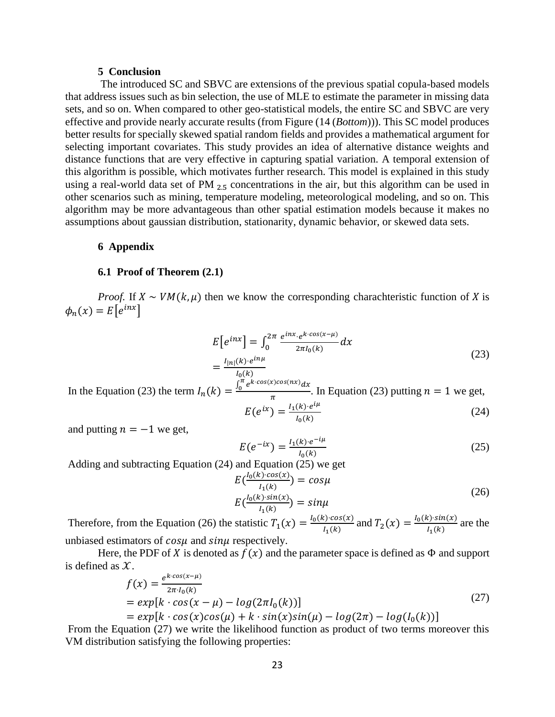#### **5 Conclusion**

The introduced SC and SBVC are extensions of the previous spatial copula-based models that address issues such as bin selection, the use of MLE to estimate the parameter in missing data sets, and so on. When compared to other geo-statistical models, the entire SC and SBVC are very effective and provide nearly accurate results (from Figure (14 (*Bottom*))). This SC model produces better results for specially skewed spatial random fields and provides a mathematical argument for selecting important covariates. This study provides an idea of alternative distance weights and distance functions that are very effective in capturing spatial variation. A temporal extension of this algorithm is possible, which motivates further research. This model is explained in this study using a real-world data set of PM  $_{2.5}$  concentrations in the air, but this algorithm can be used in other scenarios such as mining, temperature modeling, meteorological modeling, and so on. This algorithm may be more advantageous than other spatial estimation models because it makes no assumptions about gaussian distribution, stationarity, dynamic behavior, or skewed data sets.

### **6 Appendix**

#### **6.1 Proof of Theorem (2.1)**

*Proof.* If  $X \sim VM(k, \mu)$  then we know the corresponding charachteristic function of X is  $\phi_n(x) = E\left[e^{inx}\right]$ 

$$
E[e^{inx}] = \int_0^{2\pi} \frac{e^{inx} \cdot e^{k \cdot \cos(x-\mu)}}{2\pi I_0(k)} dx
$$
  
=  $\frac{I_{|n|}(k) \cdot e^{in\mu}}{I_0(k)}$  (23)

In the Equation (23) the term  $I_n(k) = \frac{\int_0^{\pi} k}{k}$  $\int_0^\pi e^{k \cdot cos(x) cos(nx)} dx$  $\frac{a_n}{\pi}$ . In Equation (23) putting  $n = 1$  we get, iμ

$$
E(e^{ix}) = \frac{I_1(k) \cdot e^{i\mu}}{I_0(k)}
$$
 (24)

and putting  $n = -1$  we get,

$$
E(e^{-ix}) = \frac{I_1(k) \cdot e^{-i\mu}}{I_0(k)}
$$
 (25)

Adding and subtracting Equation (24) and Equation (25) we get

$$
E\left(\frac{I_0(k)\cdot cos(x)}{I_1(k)}\right) = cos\mu
$$
  
\n
$$
E\left(\frac{I_0(k)\cdot sin(x)}{I_1(k)}\right) = sin\mu
$$
 (26)

Therefore, from the Equation (26) the statistic  $T_1(x) = \frac{I_0(k) \cdot cos(x)}{I_1(k)}$  $\frac{I_1(k)}{I_1(k)}$  and  $T_2(x) = \frac{I_0(k) \cdot \sin(x)}{I_1(k)}$  $\frac{I_1(k)}{I_1(k)}$  are the unbiased estimators of  $cos\mu$  and  $sin\mu$  respectively.

Here, the PDF of X is denoted as  $f(x)$  and the parameter space is defined as  $\Phi$  and support is defined as  $X$ .

$$
f(x) = \frac{e^{k \cos(x-\mu)}}{2\pi I_0(k)}
$$
  
=  $exp[k \cdot cos(x - \mu) - log(2\pi I_0(k))]$   
=  $exp[k \cdot cos(x)cos(\mu) + k \cdot sin(x)sin(\mu) - log(2\pi) - log(I_0(k))]$  (27)

From the Equation (27) we write the likelihood function as product of two terms moreover this VM distribution satisfying the following properties: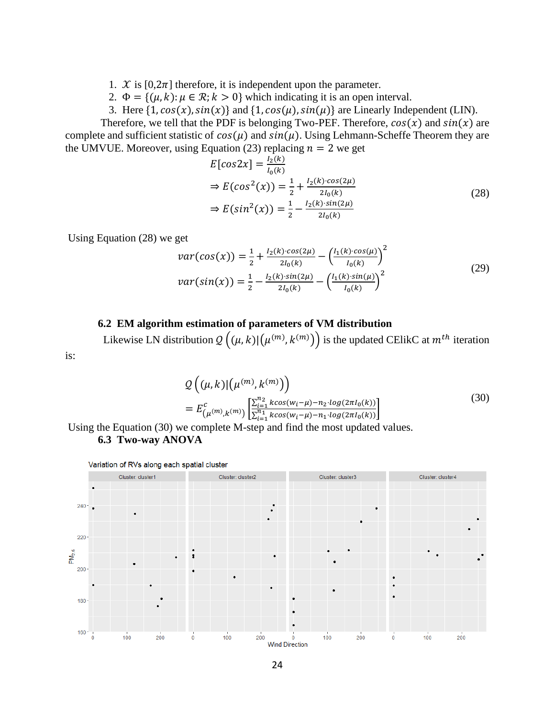1.  $\mathcal{X}$  is [0,2 $\pi$ ] therefore, it is independent upon the parameter.

2.  $\Phi = \{(\mu, k) : \mu \in \mathcal{R}; k > 0\}$  which indicating it is an open interval.

3. Here  $\{1, \cos(x), \sin(x)\}$  and  $\{1, \cos(\mu), \sin(\mu)\}$  are Linearly Independent (LIN).

Therefore, we tell that the PDF is belonging Two-PEF. Therefore,  $cos(x)$  and  $sin(x)$  are complete and sufficient statistic of  $cos(\mu)$  and  $sin(\mu)$ . Using Lehmann-Scheffe Theorem they are the UMVUE. Moreover, using Equation (23) replacing  $n = 2$  we get

$$
E[cos2x] = \frac{l_2(k)}{l_0(k)}
$$
  
\n
$$
\Rightarrow E(cos^2(x)) = \frac{1}{2} + \frac{l_2(k) \cdot cos(2\mu)}{2l_0(k)}
$$
  
\n
$$
\Rightarrow E(sin^2(x)) = \frac{1}{2} - \frac{l_2(k) \cdot sin(2\mu)}{2l_0(k)}
$$
\n(28)

Using Equation (28) we get

is:

$$
var(cos(x)) = \frac{1}{2} + \frac{I_2(k) \cdot cos(2\mu)}{2I_0(k)} - \left(\frac{I_1(k) \cdot cos(\mu)}{I_0(k)}\right)^2
$$
  

$$
var(sin(x)) = \frac{1}{2} - \frac{I_2(k) \cdot sin(2\mu)}{2I_0(k)} - \left(\frac{I_1(k) \cdot sin(\mu)}{I_0(k)}\right)^2
$$
 (29)

# **6.2 EM algorithm estimation of parameters of VM distribution**

Likewise LN distribution  $Q((\mu, k) | (\mu^{(m)}, k^{(m)}) )$  is the updated CElikC at  $m^{th}$  iteration

$$
Q\left((\mu, k) | (\mu^{(m)}, k^{(m)})\right)
$$
  
=  $E_{(\mu^{(m)}, k^{(m)})}^c \left[\frac{\sum_{i=1}^{n_2} k \cos(w_i - \mu) - n_2 \cdot \log(2\pi I_0(k))}{\sum_{i=1}^{n_1} k \cos(w_i - \mu) - n_1 \cdot \log(2\pi I_0(k))}\right]$  (30)

Using the Equation (30) we complete M-step and find the most updated values. **6.3 Two-way ANOVA**

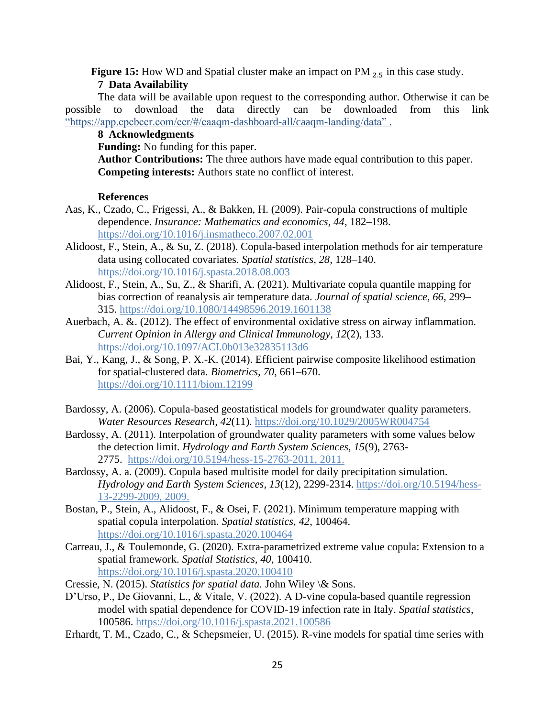**Figure 15:** How WD and Spatial cluster make an impact on PM  $_{2.5}$  in this case study. **7 Data Availability**

The data will be available upon request to the corresponding author. Otherwise it can be possible to download the data directly can be downloaded from this link "https://app.cpcbccr.com/ccr/#/caaqm-dashboard-all/caaqm-landing/data" .

# **8 Acknowledgments**

**Funding:** No funding for this paper.

**Author Contributions:** The three authors have made equal contribution to this paper. **Competing interests:** Authors state no conflict of interest.

# **References**

- Aas, K., Czado, C., Frigessi, A., & Bakken, H. (2009). Pair-copula constructions of multiple dependence. *Insurance: Mathematics and economics, 44*, 182–198. <https://doi.org/10.1016/j.insmatheco.2007.02.001>
- Alidoost, F., Stein, A., & Su, Z. (2018). Copula-based interpolation methods for air temperature data using collocated covariates. *Spatial statistics, 28*, 128–140. <https://doi.org/10.1016/j.spasta.2018.08.003>
- Alidoost, F., Stein, A., Su, Z., & Sharifi, A. (2021). Multivariate copula quantile mapping for bias correction of reanalysis air temperature data. *Journal of spatial science, 66*, 299– 315.<https://doi.org/10.1080/14498596.2019.1601138>
- Auerbach, A. &. (2012). The effect of environmental oxidative stress on airway inflammation. *Current Opinion in Allergy and Clinical Immunology, 12*(2), 133. https://doi.org[/10.1097/ACI.0b013e32835113d6](https://dx.doi.org/10.1097%2FACI.0b013e32835113d6)
- Bai, Y., Kang, J., & Song, P. X.-K. (2014). Efficient pairwise composite likelihood estimation for spatial-clustered data. *Biometrics, 70*, 661–670. <https://doi.org/10.1111/biom.12199>
- Bardossy, A. (2006). Copula-based geostatistical models for groundwater quality parameters. *Water Resources Research, 42*(11). <https://doi.org/10.1029/2005WR004754>
- Bardossy, A. (2011). Interpolation of groundwater quality parameters with some values below the detection limit. *Hydrology and Earth System Sciences, 15*(9), 2763- 2775. https://doi.org/10.5194/hess-15-2763-2011, 2011.
- Bardossy, A. a. (2009). Copula based multisite model for daily precipitation simulation. *Hydrology and Earth System Sciences, 13*(12), 2299-2314. https://doi.org/10.5194/hess-13-2299-2009, 2009.
- Bostan, P., Stein, A., Alidoost, F., & Osei, F. (2021). Minimum temperature mapping with spatial copula interpolation. *Spatial statistics, 42*, 100464. <https://doi.org/10.1016/j.spasta.2020.100464>
- Carreau, J., & Toulemonde, G. (2020). Extra-parametrized extreme value copula: Extension to a spatial framework. *Spatial Statistics, 40*, 100410. <https://doi.org/10.1016/j.spasta.2020.100410>
- Cressie, N. (2015). *Statistics for spatial data.* John Wiley \& Sons.
- D'Urso, P., De Giovanni, L., & Vitale, V. (2022). A D-vine copula-based quantile regression model with spatial dependence for COVID-19 infection rate in Italy. *Spatial statistics*, 100586. <https://doi.org/10.1016/j.spasta.2021.100586>
- Erhardt, T. M., Czado, C., & Schepsmeier, U. (2015). R-vine models for spatial time series with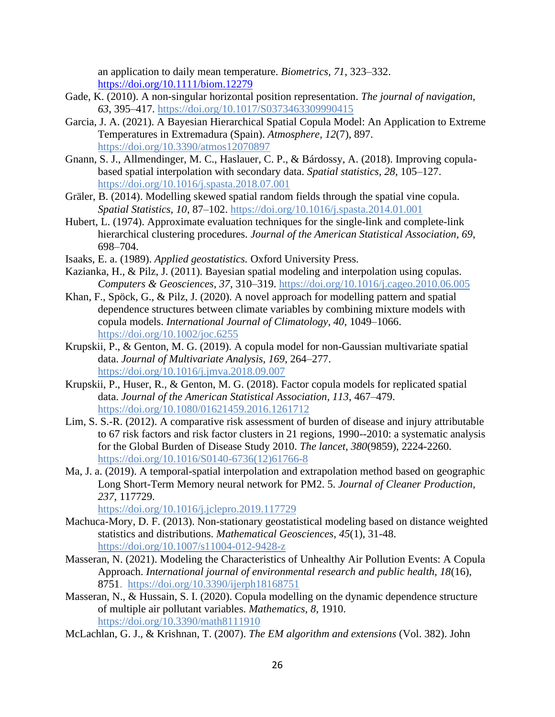an application to daily mean temperature. *Biometrics, 71*, 323–332. <https://doi.org/10.1111/biom.12279>

- Gade, K. (2010). A non-singular horizontal position representation. *The journal of navigation, 63*, 395–417. <https://doi.org/10.1017/S0373463309990415>
- Garcia, J. A. (2021). A Bayesian Hierarchical Spatial Copula Model: An Application to Extreme Temperatures in Extremadura (Spain). *Atmosphere, 12*(7), 897. <https://doi.org/10.3390/atmos12070897>
- Gnann, S. J., Allmendinger, M. C., Haslauer, C. P., & Bárdossy, A. (2018). Improving copulabased spatial interpolation with secondary data. *Spatial statistics, 28*, 105–127. <https://doi.org/10.1016/j.spasta.2018.07.001>
- Gräler, B. (2014). Modelling skewed spatial random fields through the spatial vine copula. *Spatial Statistics, 10*, 87–102. <https://doi.org/10.1016/j.spasta.2014.01.001>
- Hubert, L. (1974). Approximate evaluation techniques for the single-link and complete-link hierarchical clustering procedures. *Journal of the American Statistical Association, 69*, 698–704.
- Isaaks, E. a. (1989). *Applied geostatistics.* Oxford University Press.
- Kazianka, H., & Pilz, J. (2011). Bayesian spatial modeling and interpolation using copulas. *Computers & Geosciences, 37*, 310–319. <https://doi.org/10.1016/j.cageo.2010.06.005>
- Khan, F., Spöck, G., & Pilz, J. (2020). A novel approach for modelling pattern and spatial dependence structures between climate variables by combining mixture models with copula models. *International Journal of Climatology, 40*, 1049–1066. https://doi.org/10.1002/joc.6255
- Krupskii, P., & Genton, M. G. (2019). A copula model for non-Gaussian multivariate spatial data. *Journal of Multivariate Analysis, 169*, 264–277. <https://doi.org/10.1016/j.jmva.2018.09.007>
- Krupskii, P., Huser, R., & Genton, M. G. (2018). Factor copula models for replicated spatial data. *Journal of the American Statistical Association, 113*, 467–479. <https://doi.org/10.1080/01621459.2016.1261712>
- Lim, S. S.-R. (2012). A comparative risk assessment of burden of disease and injury attributable to 67 risk factors and risk factor clusters in 21 regions, 1990--2010: a systematic analysis for the Global Burden of Disease Study 2010. *The lancet, 380*(9859), 2224-2260. [https://doi.org/10.1016/S0140-6736\(12\)61766-8](https://doi.org/10.1016/S0140-6736(12)61766-8)
- Ma, J. a. (2019). A temporal-spatial interpolation and extrapolation method based on geographic Long Short-Term Memory neural network for PM2. 5. *Journal of Cleaner Production, 237*, 117729.

<https://doi.org/10.1016/j.jclepro.2019.117729>

- Machuca-Mory, D. F. (2013). Non-stationary geostatistical modeling based on distance weighted statistics and distributions. *Mathematical Geosciences, 45*(1), 31-48. https://doi.org/10.1007/s11004-012-9428-z
- Masseran, N. (2021). Modeling the Characteristics of Unhealthy Air Pollution Events: A Copula Approach. *International journal of environmental research and public health, 18*(16), 8751. <https://doi.org/10.3390/ijerph18168751>
- Masseran, N., & Hussain, S. I. (2020). Copula modelling on the dynamic dependence structure of multiple air pollutant variables. *Mathematics, 8*, 1910. <https://doi.org/10.3390/math8111910>
- McLachlan, G. J., & Krishnan, T. (2007). *The EM algorithm and extensions* (Vol. 382). John